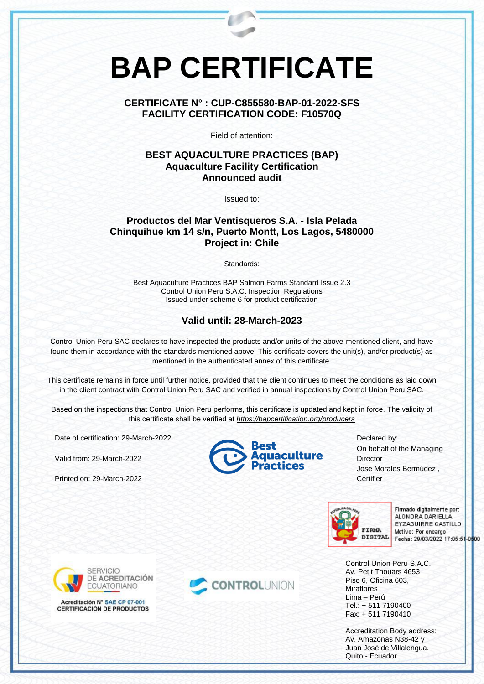# **BAP CERTIFICATE**

#### **CERTIFICATE N° : CUP-C855580-BAP-01-2022-SFS FACILITY CERTIFICATION CODE: F10570Q**

Field of attention:

#### **BEST AQUACULTURE PRACTICES (BAP) Aquaculture Facility Certification Announced audit**

Issued to:

## **Productos del Mar Ventisqueros S.A. - Isla Pelada Chinquihue km 14 s/n, Puerto Montt, Los Lagos, 5480000 Project in: Chile**

Standards:

Best Aquaculture Practices BAP Salmon Farms Standard Issue 2.3 Control Union Peru S.A.C. Inspection Regulations Issued under scheme 6 for product certification

## **Valid until: 28-March-2023**

Control Union Peru SAC declares to have inspected the products and/or units of the above-mentioned client, and have found them in accordance with the standards mentioned above. This certificate covers the unit(s), and/or product(s) as mentioned in the authenticated annex of this certificate.

This certificate remains in force until further notice, provided that the client continues to meet the conditions as laid down in the client contract with Control Union Peru SAC and verified in annual inspections by Control Union Peru SAC.

Based on the inspections that Control Union Peru performs, this certificate is updated and kept in force. The validity of this certificate shall be verified at *<https://bapcertification.org/producers>*

Date of certification: 29-March-2022

Valid from: 29-March-2022

Printed on: 29-March-2022



Declared by: On behalf of the Managing **Director** Jose Morales Bermúdez , Certifier



Firmado digitalmente por: ALONDRA DARIELLA EYZAGUIRRE CASTILLO Motivo: Por encargo Fecha: 29/03/2022 17:05:51-0500

Control Union Peru S.A.C. Av. Petit Thouars 4653 Piso 6, Oficina 603, **Miraflores** Lima – Perú Tel.: + 511 7190400 Fax: + 511 7190410

Accreditation Body address: Av. Amazonas N38-42 y Juan José de Villalengua. Quito - Ecuador